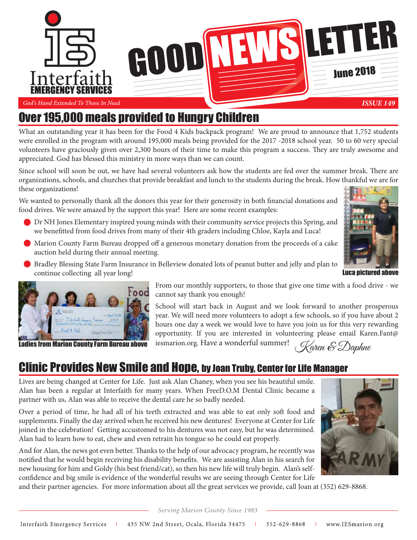

#### God's Hand Extended To Those In Need

## Over 195,000 meals provided to Hungry Children

What an outstanding year it has been for the Food 4 Kids backpack program! We are proud to announce that 1,752 students were enrolled in the program with around 195,000 meals being provided for the 2017 -2018 school year. 50 to 60 very special volunteers have graciously given over 2,300 hours of their time to make this program a success. They are truly awesome and appreciated. God has blessed this ministry in more ways than we can count.

Since school will soon be out, we have had several volunteers ask how the students are fed over the summer break. There are organizations, schools, and churches that provide breakfast and lunch to the students during the break. How thankful we are for these organizations!

We wanted to personally thank all the donors this year for their generosity in both financial donations and food drives. We were amazed by the support this year! Here are some recent examples:

- Dr NH Jones Elementary inspired young minds with their community service projects this Spring, and we benefitted from food drives from many of their 4th graders including Chloe, Kayla and Luca!
- Marion County Farm Bureau dropped off a generous monetary donation from the proceeds of a cake auction held during their annual meeting.
- Bradley Blessing State Farm Insurance in Belleview donated lots of peanut butter and jelly and plan to continue collecting all year long!





From our monthly supporters, to those that give one time with a food drive - we cannot say thank you enough!

School will start back in August and we look forward to another prosperous year. We will need more volunteers to adopt a few schools, so if you have about 2 hours one day a week we would love to have you join us for this very rewarding opportunity. If you are interested in volunteering please email Karen.Fant@ iesmarion.org. Have a wonderful summer! **Ladies from Marion County Farm Bureau above** iesmarion.org. Have a wonderful summer! (Karen E Daphne

## Clinic Provides New Smile and Hope, by Joan Truby, Center for Life Manager

Lives are being changed at Center for Life. Just ask Alan Chaney, when you see his beautiful smile. Alan has been a regular at Interfaith for many years. When FreeD.O.M Dental Clinic became a partner with us, Alan was able to receive the dental care he so badly needed.

Over a period of time, he had all of his teeth extracted and was able to eat only soft food and supplements. Finally the day arrived when he received his new dentures! Everyone at Center for Life joined in the celebration! Getting accustomed to his dentures was not easy, but he was determined. Alan had to learn how to eat, chew and even retrain his tongue so he could eat properly.

And for Alan, the news got even better. Thanks to the help of our advocacy program, he recently was notified that he would begin receiving his disability benefits. We are assisting Alan in his search for new housing for him and Goldy (his best friend/cat), so then his new life will truly begin. Alan's selfconfidence and big smile is evidence of the wonderful results we are seeing through Center for Life



and their partner agencies. For more information about all the great services we provide, call Joan at (352) 629-8868.

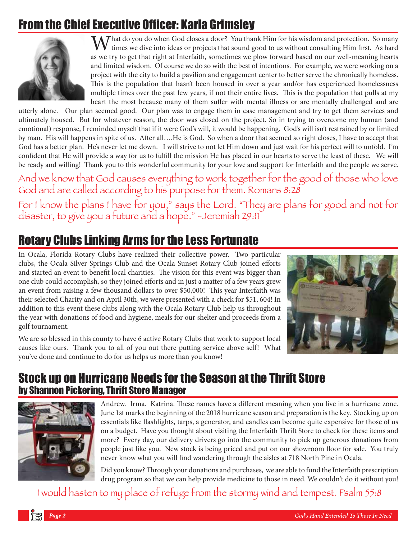## From the Chief Executive Officer: Karla Grimsley



Mhat do you do when God closes a door? You thank Him for his wisdom and protection. So many times we dive into ideas or projects that sound good to us without consulting Him first. As hard as we try to get that right at Interfaith, sometimes we plow forward based on our well-meaning hearts and limited wisdom. Of course we do so with the best of intentions. For example, we were working on a project with the city to build a pavilion and engagement center to better serve the chronically homeless. This is the population that hasn't been housed in over a year and/or has experienced homelessness multiple times over the past few years, if not their entire lives. This is the population that pulls at my heart the most because many of them suffer with mental illness or are mentally challenged and are

utterly alone. Our plan seemed good. Our plan was to engage them in case management and try to get them services and ultimately housed. But for whatever reason, the door was closed on the project. So in trying to overcome my human (and emotional) response, I reminded myself that if it were God's will, it would be happening. God's will isn't restrained by or limited by man. His will happens in spite of us. After all….He is God. So when a door that seemed so right closes, I have to accept that God has a better plan. He's never let me down. I will strive to not let Him down and just wait for his perfect will to unfold. I'm confident that He will provide a way for us to fulfill the mission He has placed in our hearts to serve the least of these. We will be ready and willing! Thank you to this wonderful community for your love and support for Interfaith and the people we serve.

And we know that God causes everything to work together for the good of those who love<br>God and are called according to his purpose for them. Romans 8:28

God and are called according to his purpose for them. Romans 8:28 For I know the plans I have for you," says the Eorg. "They are plans for good and not for disaster, to give you a future and a hope." Seremian  $2/11$ 

## Rotary Clubs Linking Arms for the Less Fortunate

In Ocala, Florida Rotary Clubs have realized their collective power. Two particular clubs, the Ocala Silver Springs Club and the Ocala Sunset Rotary Club joined efforts and started an event to benefit local charities. The vision for this event was bigger than one club could accomplish, so they joined efforts and in just a matter of a few years grew an event from raising a few thousand dollars to over \$50,000! This year Interfaith was their selected Charity and on April 30th, we were presented with a check for \$51, 604! In addition to this event these clubs along with the Ocala Rotary Club help us throughout the year with donations of food and hygiene, meals for our shelter and proceeds from a golf tournament.



We are so blessed in this county to have 6 active Rotary Clubs that work to support local causes like ours. Thank you to all of you out there putting service above self! What you've done and continue to do for us helps us more than you know!

## Stock up on Hurricane Needs for the Season at the Thrift Store by Shannon Pickering, Thrift Store Manager



Andrew. Irma. Katrina. These names have a different meaning when you live in a hurricane zone. June 1st marks the beginning of the 2018 hurricane season and preparation is the key. Stocking up on essentials like flashlights, tarps, a generator, and candles can become quite expensive for those of us on a budget. Have you thought about visiting the Interfaith Thrift Store to check for these items and more? Every day, our delivery drivers go into the community to pick up generous donations from people just like you. New stock is being priced and put on our showroom floor for sale. You truly never know what you will find wandering through the aisles at 718 North Pine in Ocala.

Did you know? Through your donations and purchases, we are able to fund the Interfaith prescription drug program so that we can help provide medicine to those in need. We couldn't do it without you!

I would hasten to my place of refuge from the stormy wind and tempest. Psalm 55:8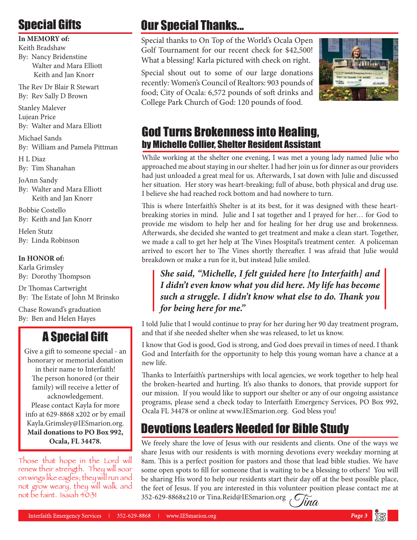# Special Gifts

**In MEMORY of:** 

Keith Bradshaw By: Nancy Bridenstine Walter and Mara Elliott Keith and Jan Knorr

The Rev Dr Blair R Stewart By: Rev Sally D Brown

Stanley Malever Lujean Price By: Walter and Mara Elliott

Michael Sands By: William and Pamela Pittman

H L Diaz By: Tim Shanahan

JoAnn Sandy By: Walter and Mara Elliott Keith and Jan Knorr

Bobbie Costello By: Keith and Jan Knorr

Helen Stutz By: Linda Robinson

#### **In HONOR of:**

Karla Grimsley By: Dorothy Thompson

Dr Thomas Cartwright By: The Estate of John M Brinsko

Chase Rowand's graduation By: Ben and Helen Hayes

## A Special Gift

Give a gift to someone special - an honorary or memorial donation in their name to Interfaith! The person honored (or their family) will receive a letter of acknowledgement. Please contact Kayla for more info at 629-8868 x202 or by email Kayla.Grimsley@IESmarion.org. **Mail donations to PO Box 992, Ocala, FL 34478.**

Those that hope in the Lord will<br>renew their strength. They will soar on wings like eagles; they will run and not grow weary, they will walk and not grow weary, they will walk and  $n_{\text{tot}}$  behavior  $n_{\text{tot}}$ 

# Our Special Thanks...

Special thanks to On Top of the World's Ocala Open Golf Tournament for our recent check for \$42,500! What a blessing! Karla pictured with check on right.

Special shout out to some of our large donations recently: Women's Council of Realtors: 903 pounds of food; City of Ocala: 6,572 pounds of soft drinks and College Park Church of God: 120 pounds of food.



## God Turns Brokenness into Healing, by Michelle Collier, Shelter Resident Assistant

While working at the shelter one evening, I was met a young lady named Julie who approached me about staying in our shelter. I had her join us for dinner as our providers had just unloaded a great meal for us. Afterwards, I sat down with Julie and discussed her situation. Her story was heart-breaking; full of abuse, both physical and drug use. I believe she had reached rock bottom and had nowhere to turn.

This is where Interfaith's Shelter is at its best, for it was designed with these heartbreaking stories in mind. Julie and I sat together and I prayed for her… for God to provide me wisdom to help her and for healing for her drug use and brokenness. Afterwards, she decided she wanted to get treatment and make a clean start. Together, we made a call to get her help at The Vines Hospital's treatment center. A policeman arrived to escort her to The Vines shortly thereafter. I was afraid that Julie would breakdown or make a run for it, but instead Julie smiled.

### *She said, "Michelle, I felt guided here [to Interfaith] and I didn't even know what you did here. My life has become such a struggle. I didn't know what else to do. Thank you for being here for me."*

I told Julie that I would continue to pray for her during her 90 day treatment program, and that if she needed shelter when she was released, to let us know.

I know that God is good, God is strong, and God does prevail in times of need. I thank God and Interfaith for the opportunity to help this young woman have a chance at a new life.

Thanks to Interfaith's partnerships with local agencies, we work together to help heal the broken-hearted and hurting. It's also thanks to donors, that provide support for our mission. If you would like to support our shelter or any of our ongoing assistance programs, please send a check today to Interfaith Emergency Services, PO Box 992, Ocala FL 34478 or online at www.IESmarion.org. God bless you!

# Devotions Leaders Needed for Bible Study

We freely share the love of Jesus with our residents and clients. One of the ways we share Jesus with our residents is with morning devotions every weekday morning at 8am. This is a perfect position for pastors and those that lead bible studies. We have some open spots to fill for someone that is waiting to be a blessing to others! You will be sharing His word to help our residents start their day off at the best possible place, the feet of Jesus. If you are interested in this volunteer position please contact me at 352-629-8868x210 or Tina.Reid@IESmarion.org  $\widetilde{C}$